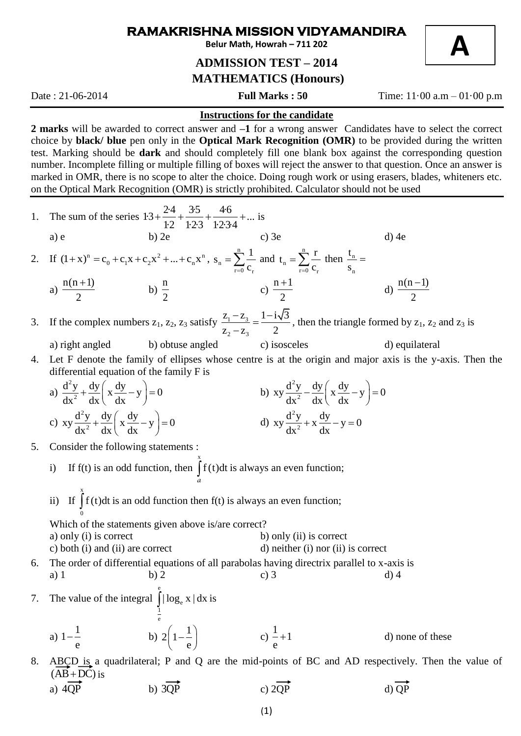## **RAMAKRISHNA MISSION VIDYAMANDIRA**

**Belur Math, Howrah – 711 202**

## **ADMISSION TEST – 2014 MATHEMATICS (Honours)**

Date : 21-06-2014 **Full Marks : 50** Time: 11·00 a.m – 01·00 p.m

**A**

## **Instructions for the candidate**

**2 marks** will be awarded to correct answer and **–1** for a wrong answer Candidates have to select the correct choice by **black/ blue** pen only in the **Optical Mark Recognition (OMR)** to be provided during the written test. Marking should be **dark** and should completely fill one blank box against the corresponding question number. Incomplete filling or multiple filling of boxes will reject the answer to that question. Once an answer is marked in OMR, there is no scope to alter the choice. Doing rough work or using erasers, blades, whiteners etc. on the Optical Mark Recognition (OMR) is strictly prohibited. Calculator should not be used

1. The sum of the series 
$$
13 + \frac{24}{12} + \frac{35}{123} + \frac{46}{1234} + \dots
$$
 is  
\na) e b) 2e  
\n2. If  $(1+x)^n = c_0 + c_1x + c_2x^2 + \dots + c_nx^n$ ,  $s_n = \sum_{r=0}^{n} \frac{1}{c_r}$  and  $t_n = \sum_{r=0}^{n} \frac{r}{c_r}$  then  $\frac{t_n}{s_n} =$   
\na)  $\frac{n(n+1)}{2}$  b)  $\frac{n}{2}$  c)  $\frac{n+1}{2}$  d)  $\frac{n(n-1)}{2}$   
\n3. If the complex numbers  $z_1, z_2, z_3$  satisfy  $\frac{z_1 - z_3}{z_2 - z_3} = \frac{1 - i\sqrt{3}}{2}$ , then the triangle formed by  $z_1, z_2$  and  $z_3$  is  
\na) right angled b) obtuse angled c) isosceles d) isosceles d) isosceles d) equalilateral  
\n4. Let F denote the family of ellipses whose centre is at the origin and major axis is the y-axis. Then the  
\ndifferential equation of the family F is  
\na)  $\frac{d^2y}{dx^2} + \frac{dy}{dx} \left(x \frac{dy}{dx} - y\right) = 0$  b)  $xy \frac{d^2y}{dx^2} + \frac{dy}{dx} \left(x \frac{dy}{dx} - y\right) = 0$   
\nc)  $xy \frac{d^2y}{dx^2} + \frac{dy}{dx} \left(x \frac{dy}{dx} - y\right) = 0$  d)  $xy \frac{d^2y}{dx^2} + x \frac{dy}{dx} - y = 0$   
\n5. Consider the following statements :  
\ni) If  $\int_0^x f(t) dt$  is an odd function then  $f(t)$  is always an even function;  
\nii) If  $\int_0^x f(t) dt$  is an odd function then  $f(t)$  is always an even function;  
\nWhich of the statements given above is/are correct? a) only (i) is correct  
\na) only (i) is correct b) only (ii) is correct  
\nb) noii (ii) are correct d) on the unit point (i) nor (ii) is correct  
\n6. The order of differential equations of all parabolas having directrix parallel to x-axis is  
\na)  $1 - \frac{1}{$ 

a)  $4QP$  b)  $3QP$  c)  $2QP$  d)  $QP$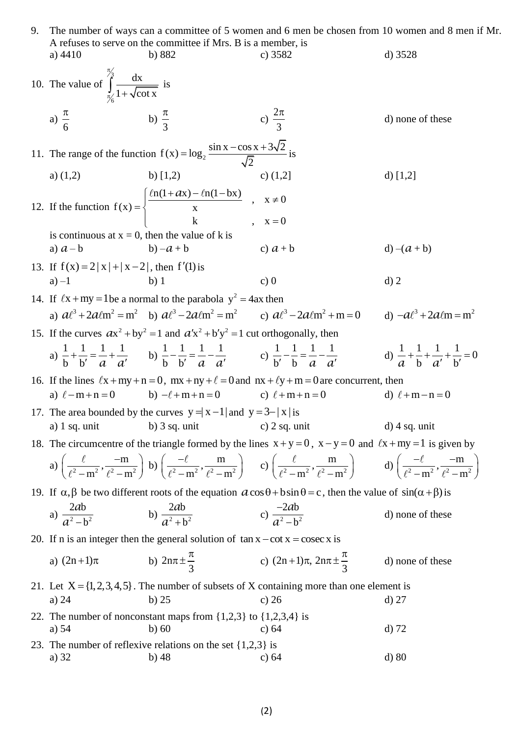| 9. | The number of ways can a committee of 5 women and 6 men be chosen from 10 women and 8 men if Mr.                                                                                                          |                                                                                                                    |                                                                                                                                                                                                                                                                     |                       |
|----|-----------------------------------------------------------------------------------------------------------------------------------------------------------------------------------------------------------|--------------------------------------------------------------------------------------------------------------------|---------------------------------------------------------------------------------------------------------------------------------------------------------------------------------------------------------------------------------------------------------------------|-----------------------|
|    |                                                                                                                                                                                                           | A refuses to serve on the committee if Mrs. B is a member, is                                                      |                                                                                                                                                                                                                                                                     |                       |
|    | a) $4410$                                                                                                                                                                                                 | b) $882$                                                                                                           | c) $3582$                                                                                                                                                                                                                                                           | d) $3528$             |
|    | 10. The value of $\int_{\frac{\pi}{2}}^{\frac{\pi}{3}} \frac{dx}{1 + \sqrt{\cot x}}$ is                                                                                                                   |                                                                                                                    |                                                                                                                                                                                                                                                                     |                       |
|    | a) $\frac{\pi}{6}$ b) $\frac{\pi}{3}$                                                                                                                                                                     |                                                                                                                    | c) $\frac{2\pi}{2}$                                                                                                                                                                                                                                                 | d) none of these      |
|    | 11. The range of the function $f(x) = log_2 \frac{sin x - cos x + 3\sqrt{2}}{\sqrt{2}}$ is                                                                                                                |                                                                                                                    |                                                                                                                                                                                                                                                                     |                       |
|    |                                                                                                                                                                                                           | a) $(1,2)$ b) $[1,2)$                                                                                              | c) $(1,2]$                                                                                                                                                                                                                                                          | d) $[1,2]$            |
|    |                                                                                                                                                                                                           | 12. If the function $f(x) = \begin{cases} \frac{\ln(1+ax) - \ln(1-bx)}{x} & , x \neq 0 \\ k & , x = 0 \end{cases}$ |                                                                                                                                                                                                                                                                     |                       |
|    | is continuous at $x = 0$ , then the value of k is                                                                                                                                                         |                                                                                                                    |                                                                                                                                                                                                                                                                     |                       |
|    | a) $a-b$                                                                                                                                                                                                  | $b) - a + b$                                                                                                       | c) $a + b$                                                                                                                                                                                                                                                          | $d) - (a + b)$        |
|    |                                                                                                                                                                                                           |                                                                                                                    |                                                                                                                                                                                                                                                                     |                       |
|    | 13. If $f(x) = 2 x  +  x - 2 $ , then $f'(1)$ is<br>$a) -1$                                                                                                                                               | $b)$ 1                                                                                                             | c) $0$                                                                                                                                                                                                                                                              | $d)$ 2                |
|    |                                                                                                                                                                                                           |                                                                                                                    |                                                                                                                                                                                                                                                                     |                       |
|    | 14. If $\ell x + my = 1$ be a normal to the parabola $y^2 = 4ax$ then<br>a) $a\ell^3 + 2a\ell m^2 = m^2$ b) $a\ell^3 - 2a\ell m^2 = m^2$ c) $a\ell^3 - 2a\ell m^2 + m = 0$ d) $-a\ell^3 + 2a\ell m = m^2$ |                                                                                                                    |                                                                                                                                                                                                                                                                     |                       |
|    |                                                                                                                                                                                                           |                                                                                                                    |                                                                                                                                                                                                                                                                     |                       |
|    | 15. If the curves $ax^2 + by^2 = 1$ and $a'x^2 + b'y^2 = 1$ cut orthogonally, then                                                                                                                        |                                                                                                                    |                                                                                                                                                                                                                                                                     |                       |
|    |                                                                                                                                                                                                           |                                                                                                                    | a) $\frac{1}{b} + \frac{1}{b'} = \frac{1}{a} + \frac{1}{a'}$ b) $\frac{1}{b} - \frac{1}{b'} = \frac{1}{a} - \frac{1}{a'}$ c) $\frac{1}{b'} - \frac{1}{b} = \frac{1}{a} - \frac{1}{a'}$ d) $\frac{1}{a} + \frac{1}{b'} + \frac{1}{a'} + \frac{1}{b'} = 0$            |                       |
|    | 16. If the lines $\ell x + my + n = 0$ , $mx + ny + \ell = 0$ and $nx + \ell y + m = 0$ are concurrent, then                                                                                              |                                                                                                                    |                                                                                                                                                                                                                                                                     |                       |
|    |                                                                                                                                                                                                           | a) $\ell - m + n = 0$ b) $-\ell + m + n = 0$ c) $\ell + m + n = 0$                                                 |                                                                                                                                                                                                                                                                     | d) $\ell + m - n = 0$ |
|    | 17. The area bounded by the curves $y =  x-1 $ and $y = 3- x $ is                                                                                                                                         |                                                                                                                    |                                                                                                                                                                                                                                                                     |                       |
|    | a) $1$ sq. unit                                                                                                                                                                                           | b) $3$ sq. unit                                                                                                    | c) $2$ sq. unit                                                                                                                                                                                                                                                     | $d)$ 4 sq. unit       |
|    | 18. The circumcentre of the triangle formed by the lines $x + y = 0$ , $x - y = 0$ and $\ell x + my = 1$ is given by                                                                                      |                                                                                                                    |                                                                                                                                                                                                                                                                     |                       |
|    |                                                                                                                                                                                                           |                                                                                                                    | a) $\left(\frac{\ell}{\ell^2-m^2}, \frac{-m}{\ell^2-m^2}\right)$ b) $\left(\frac{-\ell}{\ell^2-m^2}, \frac{m}{\ell^2-m^2}\right)$ c) $\left(\frac{\ell}{\ell^2-m^2}, \frac{m}{\ell^2-m^2}\right)$ d) $\left(\frac{-\ell}{\ell^2-m^2}, \frac{-m}{\ell^2-m^2}\right)$ |                       |
|    | 19. If $\alpha, \beta$ be two different roots of the equation $a \cos \theta + b \sin \theta = c$ , then the value of $\sin(\alpha + \beta)$ is                                                           |                                                                                                                    |                                                                                                                                                                                                                                                                     |                       |
|    |                                                                                                                                                                                                           | a) $\frac{2ab}{a^2-b^2}$ b) $\frac{2ab}{a^2+b^2}$ c) $\frac{-2ab}{a^2-b^2}$                                        |                                                                                                                                                                                                                                                                     |                       |
|    |                                                                                                                                                                                                           |                                                                                                                    |                                                                                                                                                                                                                                                                     | d) none of these      |
|    | 20. If n is an integer then the general solution of $\tan x - \cot x = \csc x$ is                                                                                                                         |                                                                                                                    |                                                                                                                                                                                                                                                                     |                       |
|    | a) $(2n+1)\pi$                                                                                                                                                                                            | b) $2n\pi \pm \frac{\pi}{3}$ c) $(2n+1)\pi$ , $2n\pi \pm \frac{\pi}{3}$                                            |                                                                                                                                                                                                                                                                     | d) none of these      |
|    | 21. Let $X = \{1, 2, 3, 4, 5\}$ . The number of subsets of X containing more than one element is                                                                                                          |                                                                                                                    |                                                                                                                                                                                                                                                                     |                       |
|    | a) $24$                                                                                                                                                                                                   | $b)$ 25                                                                                                            | c) $26$                                                                                                                                                                                                                                                             | $d)$ 27               |
|    | a) $54$                                                                                                                                                                                                   | 22. The number of nonconstant maps from $\{1,2,3\}$ to $\{1,2,3,4\}$ is<br>$b)$ 60                                 | c) $64$                                                                                                                                                                                                                                                             | $d$ ) 72              |
|    | a) 32                                                                                                                                                                                                     | 23. The number of reflexive relations on the set $\{1,2,3\}$ is<br>$b)$ 48                                         | c) $64$                                                                                                                                                                                                                                                             | $d)$ 80               |
|    |                                                                                                                                                                                                           |                                                                                                                    |                                                                                                                                                                                                                                                                     |                       |